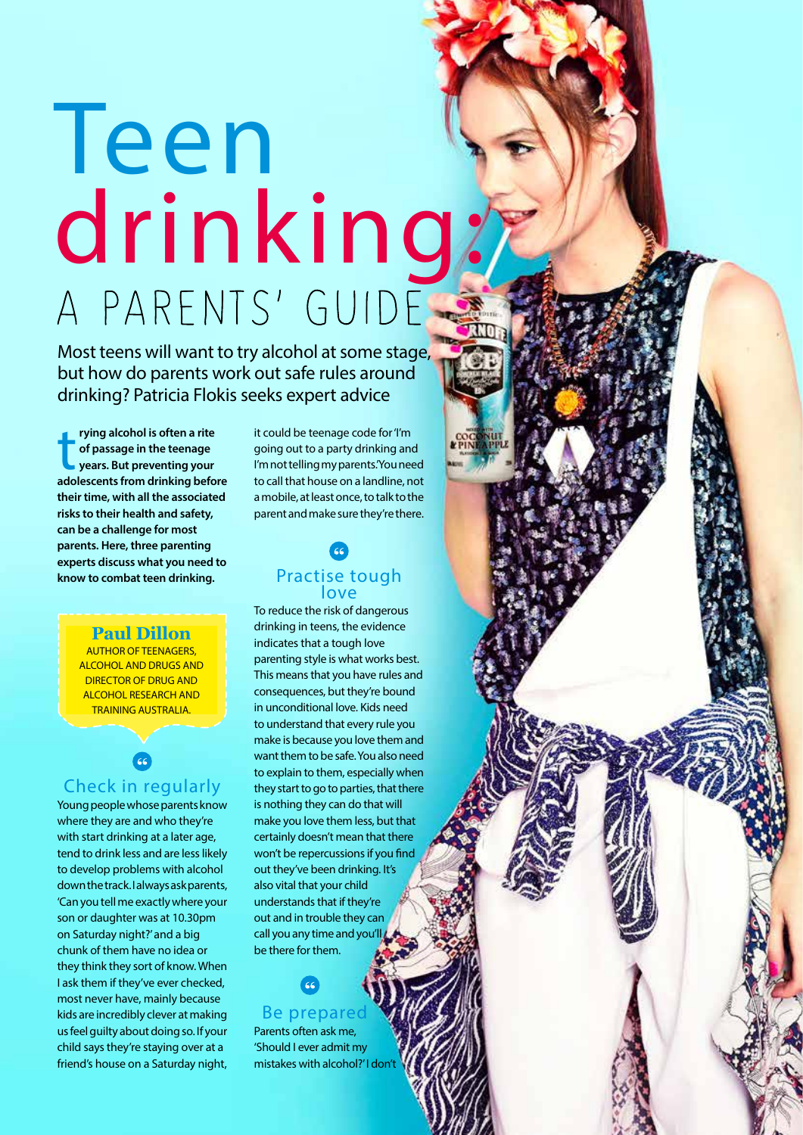# leen drinking

Most teens will want to try alcohol at some stage, but how do parents work out safe rules around drinking? Patricia Flokis seeks expert advice

**adolescent is often a rite**<br>of passage in the teenage<br>years. But preventing your<br>adolescents from drinking before **rying alcohol is often a rite of passage in the teenage years. But preventing your their time, with all the associated risks to their health and safety, can be a challenge for most parents. Here, three parenting experts discuss what you need to know to combat teen drinking.** 

> **Paul Dillon** Author of Teenagers, Alcohol and Drugs and director of Drug and Alcohol Research and Training Australia.

Check in regularly Young people whose parents know where they are and who they're with start drinking at a later age. tend to drink less and are less likely to develop problems with alcohol down the track. I always ask parents, 'Can you tell me exactly where your son or daughter was at 10.30pm on Saturday night?' and a big chunk of them have no idea or they think they sort of know. When I ask them if they've ever checked, most never have, mainly because kids are incredibly clever at making us feel guilty about doing so. If your child says they're staying over at a friend's house on a Saturday night,

it could be teenage code for 'I'm going out to a party drinking and I'm not telling my parents. You need to call that house on a landline, not a mobile, at least once, to talk to the parent and make sure they're there.



To reduce the risk of dangerous drinking in teens, the evidence indicates that a tough love parenting style is what works best. This means that you have rules and consequences, but they're bound in unconditional love. Kids need to understand that every rule you make is because you love them and want them to be safe. You also need to explain to them, especially when they start to go to parties, that there is nothing they can do that will make you love them less, but that certainly doesn't mean that there won't be repercussions if you find out they've been drinking. It's also vital that your child understands that if they're out and in trouble they can call you any time and you'll be there for them.

## Be prepare

'Should I ever admit my mistakes with alcohol?' I don't

Parents often ask me,